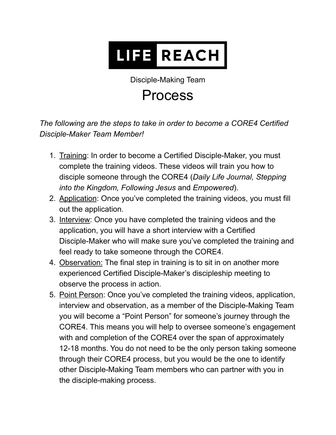## **LIFE REACH**

Disciple-Making Team

## Process

*The following are the steps to take in order to become a CORE4 Certified Disciple-Maker Team Member!*

- 1. Training: In order to become a Certified Disciple-Maker, you must complete the training videos. These videos will train you how to disciple someone through the CORE4 (*Daily Life Journal, Stepping into the Kingdom, Following Jesus* and *Empowered*).
- 2. Application: Once you've completed the training videos, you must fill out the application.
- 3. Interview: Once you have completed the training videos and the application, you will have a short interview with a Certified Disciple-Maker who will make sure you've completed the training and feel ready to take someone through the CORE4.
- 4. Observation: The final step in training is to sit in on another more experienced Certified Disciple-Maker's discipleship meeting to observe the process in action.
- 5. Point Person: Once you've completed the training videos, application, interview and observation, as a member of the Disciple-Making Team you will become a "Point Person" for someone's journey through the CORE4. This means you will help to oversee someone's engagement with and completion of the CORE4 over the span of approximately 12-18 months. You do not need to be the only person taking someone through their CORE4 process, but you would be the one to identify other Disciple-Making Team members who can partner with you in the disciple-making process.